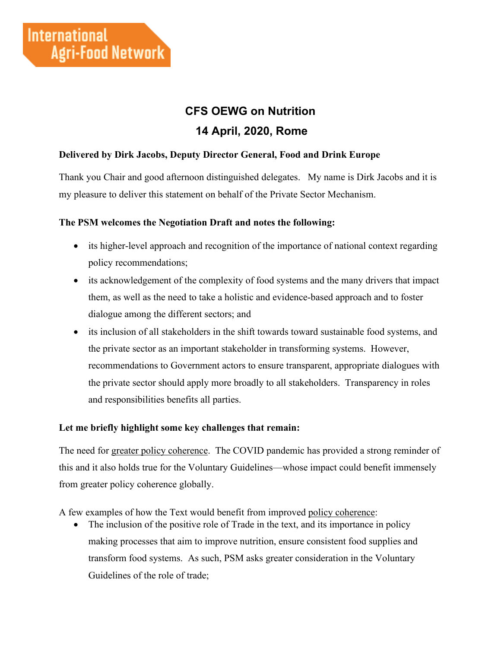# **CFS OEWG on Nutrition 14 April, 2020, Rome**

### **Delivered by Dirk Jacobs, Deputy Director General, Food and Drink Europe**

Thank you Chair and good afternoon distinguished delegates. My name is Dirk Jacobs and it is my pleasure to deliver this statement on behalf of the Private Sector Mechanism.

#### **The PSM welcomes the Negotiation Draft and notes the following:**

- its higher-level approach and recognition of the importance of national context regarding policy recommendations;
- its acknowledgement of the complexity of food systems and the many drivers that impact them, as well as the need to take a holistic and evidence-based approach and to foster dialogue among the different sectors; and
- its inclusion of all stakeholders in the shift towards toward sustainable food systems, and the private sector as an important stakeholder in transforming systems. However, recommendations to Government actors to ensure transparent, appropriate dialogues with the private sector should apply more broadly to all stakeholders. Transparency in roles and responsibilities benefits all parties.

#### **Let me briefly highlight some key challenges that remain:**

The need for greater policy coherence. The COVID pandemic has provided a strong reminder of this and it also holds true for the Voluntary Guidelines—whose impact could benefit immensely from greater policy coherence globally.

A few examples of how the Text would benefit from improved policy coherence:

• The inclusion of the positive role of Trade in the text, and its importance in policy making processes that aim to improve nutrition, ensure consistent food supplies and transform food systems. As such, PSM asks greater consideration in the Voluntary Guidelines of the role of trade;